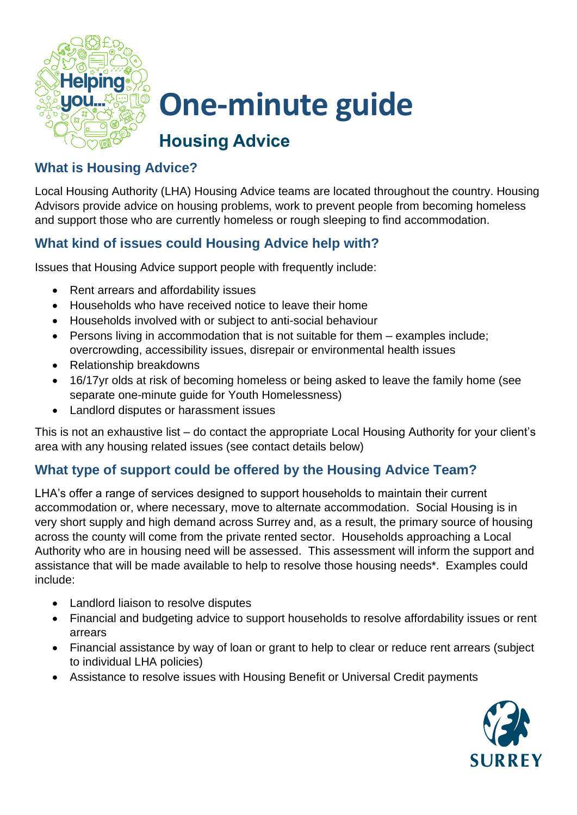

# **One-minute guide**

## **Housing Advice**

### **What is Housing Advice?**

Local Housing Authority (LHA) Housing Advice teams are located throughout the country. Housing Advisors provide advice on housing problems, work to prevent people from becoming homeless and support those who are currently homeless or rough sleeping to find accommodation.

## **What kind of issues could Housing Advice help with?**

Issues that Housing Advice support people with frequently include:

- Rent arrears and affordability issues
- Households who have received notice to leave their home
- Households involved with or subject to anti-social behaviour
- Persons living in accommodation that is not suitable for them examples include; overcrowding, accessibility issues, disrepair or environmental health issues
- Relationship breakdowns
- 16/17yr olds at risk of becoming homeless or being asked to leave the family home (see separate one-minute guide for Youth Homelessness)
- Landlord disputes or harassment issues

This is not an exhaustive list – do contact the appropriate Local Housing Authority for your client's area with any housing related issues (see contact details below)

## **What type of support could be offered by the Housing Advice Team?**

LHA's offer a range of services designed to support households to maintain their current accommodation or, where necessary, move to alternate accommodation. Social Housing is in very short supply and high demand across Surrey and, as a result, the primary source of housing across the county will come from the private rented sector. Households approaching a Local Authority who are in housing need will be assessed. This assessment will inform the support and assistance that will be made available to help to resolve those housing needs\*. Examples could include:

- Landlord liaison to resolve disputes
- Financial and budgeting advice to support households to resolve affordability issues or rent arrears
- Financial assistance by way of loan or grant to help to clear or reduce rent arrears (subject to individual LHA policies)
- Assistance to resolve issues with Housing Benefit or Universal Credit payments

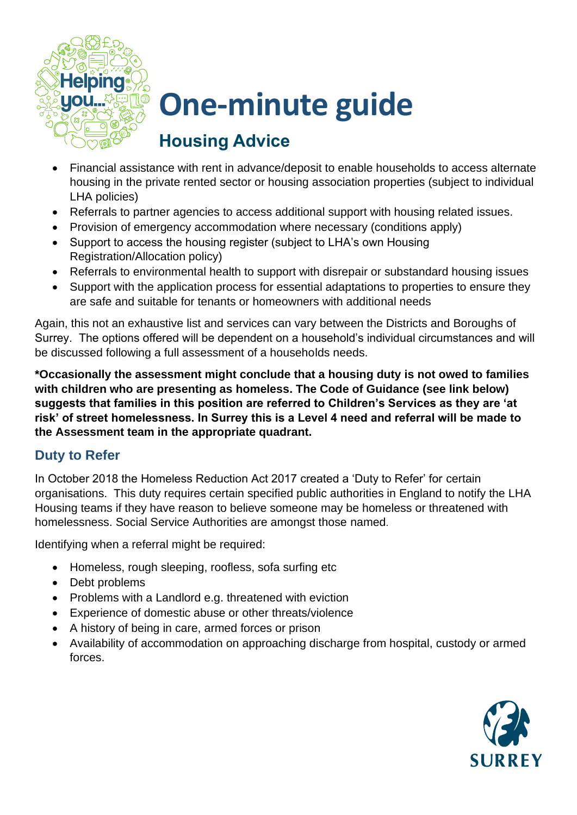

# **One-minute guide**

# **Housing Advice**

- Financial assistance with rent in advance/deposit to enable households to access alternate housing in the private rented sector or housing association properties (subject to individual LHA policies)
- Referrals to partner agencies to access additional support with housing related issues.
- Provision of emergency accommodation where necessary (conditions apply)
- Support to access the housing register (subject to LHA's own Housing Registration/Allocation policy)
- Referrals to environmental health to support with disrepair or substandard housing issues
- Support with the application process for essential adaptations to properties to ensure they are safe and suitable for tenants or homeowners with additional needs

Again, this not an exhaustive list and services can vary between the Districts and Boroughs of Surrey. The options offered will be dependent on a household's individual circumstances and will be discussed following a full assessment of a households needs.

**\*Occasionally the assessment might conclude that a housing duty is not owed to families with children who are presenting as homeless. The Code of Guidance (see link below) suggests that families in this position are referred to Children's Services as they are 'at risk' of street homelessness. In Surrey this is a Level 4 need and referral will be made to the Assessment team in the appropriate quadrant.**

### **Duty to Refer**

In October 2018 the Homeless Reduction Act 2017 created a 'Duty to Refer' for certain organisations. This duty requires certain specified public authorities in England to notify the LHA Housing teams if they have reason to believe someone may be homeless or threatened with homelessness. Social Service Authorities are amongst those named.

Identifying when a referral might be required:

- Homeless, rough sleeping, roofless, sofa surfing etc
- Debt problems
- Problems with a Landlord e.g. threatened with eviction
- Experience of domestic abuse or other threats/violence
- A history of being in care, armed forces or prison
- Availability of accommodation on approaching discharge from hospital, custody or armed forces.